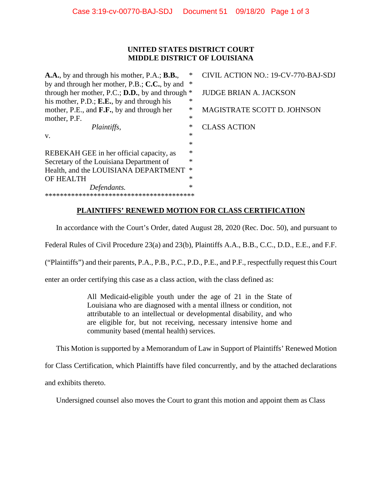## **UNITED STATES DISTRICT COURT MIDDLE DISTRICT OF LOUISIANA**

**A.A.**, by and through his mother, P.A.; **B.B.**, \* CIVIL ACTION NO.: 19-CV-770-BAJ-SDJ by and through her mother, P.B.; **C.C.**, by and \* through her mother, P.C.; **D.D.**, by and through \* JUDGE BRIAN A. JACKSON his mother, P.D.; **E.E.**, by and through his \* mother, P.E., and **F.F.**, by and through her \* MAGISTRATE SCOTT D. JOHNSON mother, P.F.  $*$ *Plaintiffs,*  $*$  **CLASS ACTION**  $v.$  \* \* REBEKAH GEE in her official capacity, as  $*$ Secretary of the Louisiana Department of  $*$ Health, and the LOUISIANA DEPARTMENT \* OF HEALTH *Defendants.* \* \*\*\*\*\*\*\*\*\*\*\*\*\*\*\*\*\*\*\*\*\*\*\*\*\*\*\*\*\*\*\*\*\*\*\*\*\*\*\*\*

## **PLAINTIFFS' RENEWED MOTION FOR CLASS CERTIFICATION**

In accordance with the Court's Order, dated August 28, 2020 (Rec. Doc. 50), and pursuant to

Federal Rules of Civil Procedure 23(a) and 23(b)*,* Plaintiffs A.A., B.B., C.C., D.D., E.E., and F.F.

("Plaintiffs") and their parents, P.A., P.B., P.C., P.D., P.E., and P.F., respectfully request this Court

enter an order certifying this case as a class action, with the class defined as:

All Medicaid-eligible youth under the age of 21 in the State of Louisiana who are diagnosed with a mental illness or condition, not attributable to an intellectual or developmental disability, and who are eligible for, but not receiving, necessary intensive home and community based (mental health) services.

This Motion is supported by a Memorandum of Law in Support of Plaintiffs' Renewed Motion

for Class Certification, which Plaintiffs have filed concurrently, and by the attached declarations

and exhibits thereto.

Undersigned counsel also moves the Court to grant this motion and appoint them as Class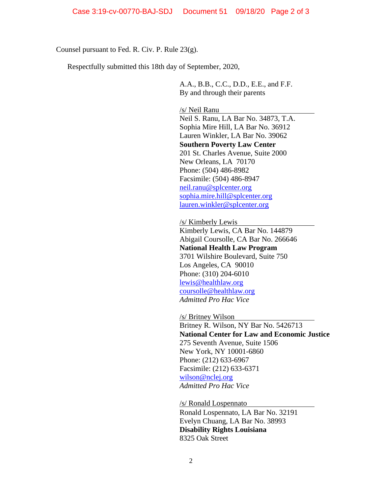Counsel pursuant to Fed. R. Civ. P. Rule 23(g).

Respectfully submitted this 18th day of September, 2020,

A.A., B.B., C.C., D.D., E.E., and F.F. By and through their parents

/s/ Neil Ranu

Neil S. Ranu, LA Bar No. 34873, T.A. Sophia Mire Hill, LA Bar No. 36912 Lauren Winkler, LA Bar No. 39062 **Southern Poverty Law Center** 201 St. Charles Avenue, Suite 2000 New Orleans, LA 70170 Phone: (504) 486-8982 Facsimile: (504) 486-8947 [neil.ranu@splcenter.org](mailto:neil.ranu@splcenter.org) [sophia.mire.hill@splcenter.org](mailto:sophia.mire.hill@splcenter.org) lauren.winkler@splcenter.org

/s/ Kimberly Lewis

Kimberly Lewis, CA Bar No. 144879 Abigail Coursolle, CA Bar No. 266646 **National Health Law Program** 3701 Wilshire Boulevard, Suite 750 Los Angeles, CA 90010 Phone: (310) 204-6010 [lewis@healthlaw.org](mailto:lewis@healthlaw.org) [coursolle@healthlaw.org](mailto:coursolle@healthlaw.org) *Admitted Pro Hac Vice* 

/s/ Britney Wilson

Britney R. Wilson, NY Bar No. 5426713 **National Center for Law and Economic Justice** 275 Seventh Avenue, Suite 1506 New York, NY 10001-6860 Phone: (212) 633-6967 Facsimile: (212) 633-6371 [wilson@nclej.org](mailto:wilson@nclej.org) *Admitted Pro Hac Vice*

/s/ Ronald Lospennato

Ronald Lospennato, LA Bar No. 32191 Evelyn Chuang, LA Bar No. 38993 **Disability Rights Louisiana** 8325 Oak Street